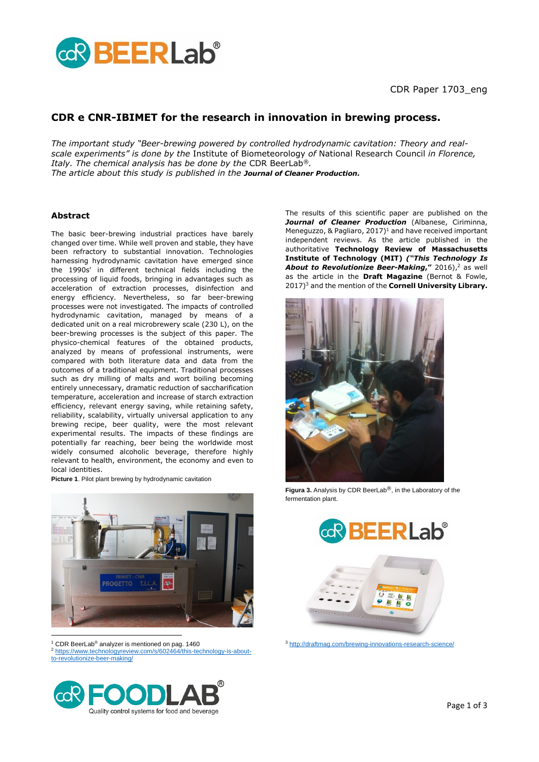

## **CDR e CNR-IBIMET for the research in innovation in brewing process.**

*The important study "Beer-brewing powered by controlled hydrodynamic cavitation: Theory and realscale experiments" is done by the* Institute of Biometeorology *of* National Research Council *in Florence, Italy. The chemical analysis has be done by the* [CDR BeerLab](https://www.cdrfoodlab.com/analysis-systems/cdrbeerlab/?utm_source=cnr1703&utm_medium=pdf&utm_campaign=CDRBeerLabCom)®*. The article about this study is published in the Journal of Cleaner Production.*

## **Abstract**

The basic beer-brewing industrial practices have barely changed over time. While well proven and stable, they have been refractory to substantial innovation. Technologies harnessing hydrodynamic cavitation have emerged since the 1990s' in different technical fields including the processing of liquid foods, bringing in advantages such as acceleration of extraction processes, disinfection and energy efficiency. Nevertheless, so far beer-brewing processes were not investigated. The impacts of controlled hydrodynamic cavitation, managed by means of a dedicated unit on a real microbrewery scale (230 L), on the beer-brewing processes is the subject of this paper. The physico-chemical features of the obtained products, analyzed by means of professional instruments, were compared with both literature data and data from the outcomes of a traditional equipment. Traditional processes such as dry milling of malts and wort boiling becoming entirely unnecessary, dramatic reduction of saccharification temperature, acceleration and increase of starch extraction efficiency, relevant energy saving, while retaining safety, reliability, scalability, virtually universal application to any brewing recipe, beer quality, were the most relevant experimental results. The impacts of these findings are potentially far reaching, beer being the worldwide most widely consumed alcoholic beverage, therefore highly relevant to health, environment, the economy and even to local identities.

**Picture 1**. Pilot plant brewing by hydrodynamic cavitation



 $1$  [CDR BeerLab](https://www.cdrfoodlab.com/analysis-systems/cdrbeerlab/?utm_source=cnr1703&utm_medium=pdf&utm_campaign=CDRBeerLabCom)® analyzer is mentioned on pag. 1460 <sup>2</sup> [https://www.technologyreview.com/s/602464/this-technology-is-about](https://www.technologyreview.com/s/602464/this-technology-is-about-to-revolutionize-beer-making/)[to-revolutionize-beer-making/](https://www.technologyreview.com/s/602464/this-technology-is-about-to-revolutionize-beer-making/)



The results of this scientific paper are published on the *Journal of Cleaner Production* (Albanese, Ciriminna, Meneguzzo,  $\&$  Pagliaro, 2017)<sup>1</sup> and have received important independent reviews. As the article published in the authoritative **Technology Review of Massachusetts Institute of Technology (MIT)** *("This Technology Is About to Revolutionize Beer-Making***,"** 2016), <sup>2</sup> as well as the article in the **Draft Magazine** (Bernot & Fowle, 2017)<sup>3</sup> and the mention of the **[Cornell University Library.](https://arxiv.org/abs/1609.06629)**



**Figura 3.** Analysis by [CDR BeerLab](https://www.cdrfoodlab.com/analysis-systems/cdrbeerlab/?utm_source=cnr1703&utm_medium=pdf&utm_campaign=CDRBeerLabCom)®, in the Laboratory of the fermentation plant.





<sup>3</sup> <http://draftmag.com/brewing-innovations-research-science/>